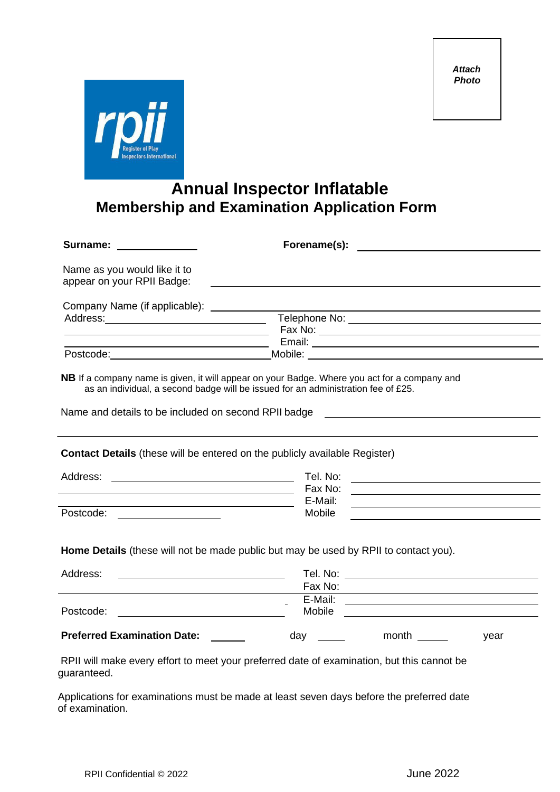

## **Annual Inspector Inflatable Membership and Examination Application Form**

| Surname: __________                                                                                                                                                                                                                              | Forename(s): the contract of the contract of the contract of the contract of the contract of the contract of the contract of the contract of the contract of the contract of the contract of the contract of the contract of t |  |  |  |
|--------------------------------------------------------------------------------------------------------------------------------------------------------------------------------------------------------------------------------------------------|--------------------------------------------------------------------------------------------------------------------------------------------------------------------------------------------------------------------------------|--|--|--|
| Name as you would like it to<br>appear on your RPII Badge:                                                                                                                                                                                       |                                                                                                                                                                                                                                |  |  |  |
| Company Name (if applicable): ___________                                                                                                                                                                                                        |                                                                                                                                                                                                                                |  |  |  |
|                                                                                                                                                                                                                                                  | Telephone No:                                                                                                                                                                                                                  |  |  |  |
| <u> 1989 - Johann Barn, mars ann an t-Amhair an t-Amhair ann an t-Amhair an t-Amhair an t-Amhair an t-Amhair an t-</u>                                                                                                                           |                                                                                                                                                                                                                                |  |  |  |
|                                                                                                                                                                                                                                                  | Postcode: Mobile: Mobile: 2008. Mobile: 2008. Mobile: 2008. Mobile: 2008. Mobile: 2008. Mobile: 2008. Mobile: 2008. Mobile: 2008. Mobile: 2008. Mobile: 2008. Mobile: 2008. Mobile: 2008. Mobile: 2008. Mobile: 2008. Mobile:  |  |  |  |
| <b>NB</b> If a company name is given, it will appear on your Badge. Where you act for a company and<br>as an individual, a second badge will be issued for an administration fee of £25.<br>Name and details to be included on second RPII badge |                                                                                                                                                                                                                                |  |  |  |
| <b>Contact Details</b> (these will be entered on the publicly available Register)                                                                                                                                                                |                                                                                                                                                                                                                                |  |  |  |
|                                                                                                                                                                                                                                                  | Tel. No:                                                                                                                                                                                                                       |  |  |  |
| <u> 1989 - Johann Barbara, martxa alemaniar amerikan a</u>                                                                                                                                                                                       | Fax No:<br><u> 1980 - Johann Barn, amerikansk politiker (d. 1980)</u>                                                                                                                                                          |  |  |  |
|                                                                                                                                                                                                                                                  | E-Mail:                                                                                                                                                                                                                        |  |  |  |
| Postcode: ___________________                                                                                                                                                                                                                    | Mobile                                                                                                                                                                                                                         |  |  |  |
| Home Details (these will not be made public but may be used by RPII to contact you).                                                                                                                                                             |                                                                                                                                                                                                                                |  |  |  |
| Address:                                                                                                                                                                                                                                         |                                                                                                                                                                                                                                |  |  |  |
|                                                                                                                                                                                                                                                  |                                                                                                                                                                                                                                |  |  |  |
| Postcode:<br><u> 1989 - Johann Barbara, martin a</u>                                                                                                                                                                                             |                                                                                                                                                                                                                                |  |  |  |
| <b>Preferred Examination Date:</b> ______                                                                                                                                                                                                        | year                                                                                                                                                                                                                           |  |  |  |
| RPII will make every effort to meet your preferred date of examination, but this cannot be<br>guaranteed.                                                                                                                                        |                                                                                                                                                                                                                                |  |  |  |
| Applications for examinations must be made at least seven days before the preferred date                                                                                                                                                         |                                                                                                                                                                                                                                |  |  |  |

of examination.